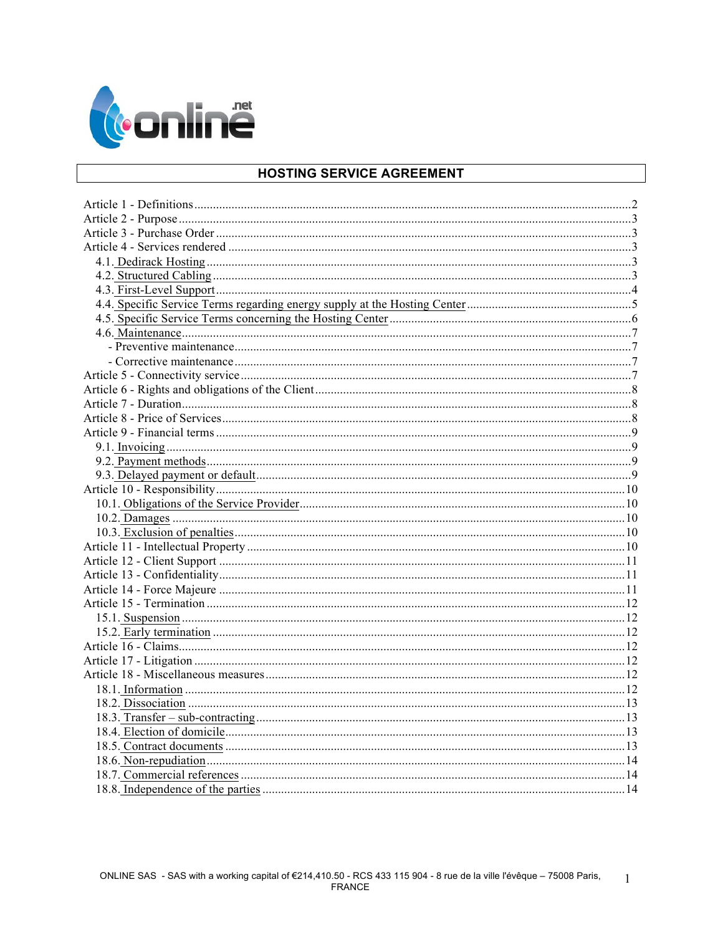

# HOSTING SERVICE AGREEMENT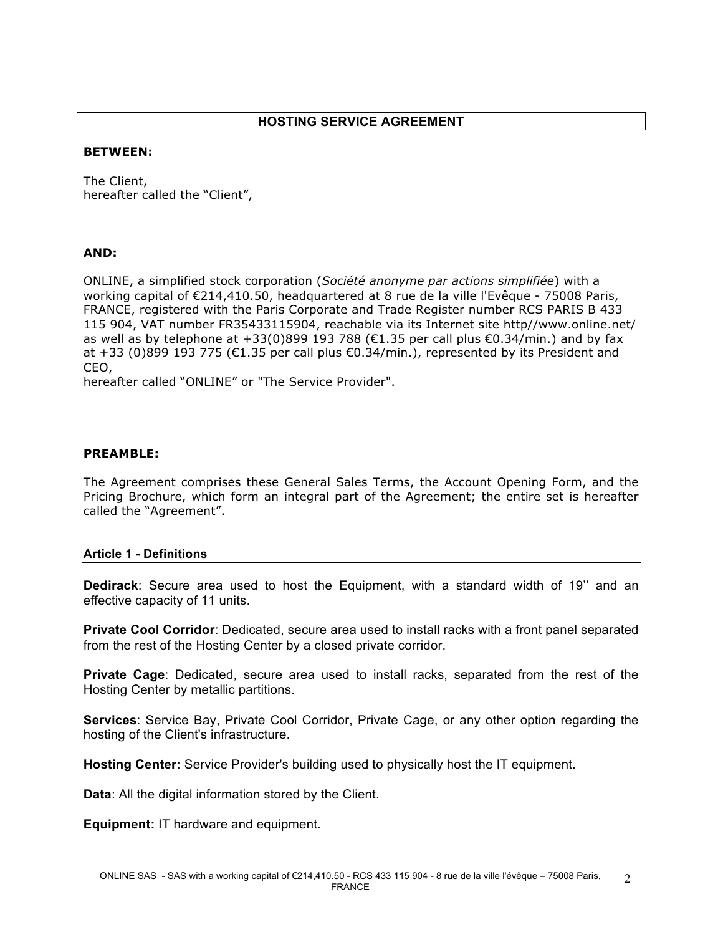#### **BETWEEN:**

The Client, hereafter called the "Client",

## **AND:**

ONLINE, a simplified stock corporation (*Société anonyme par actions simplifiée*) with a working capital of €214,410.50, headquartered at 8 rue de la ville l'Evêque - 75008 Paris, FRANCE, registered with the Paris Corporate and Trade Register number RCS PARIS B 433 115 904, VAT number FR35433115904, reachable via its Internet site http//www.online.net/ as well as by telephone at +33(0)899 193 788 ( $\epsilon$ 1.35 per call plus  $\epsilon$ 0.34/min.) and by fax at +33 (0)899 193 775 (€1.35 per call plus €0.34/min.), represented by its President and CEO,

hereafter called "ONLINE" or "The Service Provider".

## **PREAMBLE:**

The Agreement comprises these General Sales Terms, the Account Opening Form, and the Pricing Brochure, which form an integral part of the Agreement; the entire set is hereafter called the "Agreement".

#### **Article 1 - Definitions**

**Dedirack**: Secure area used to host the Equipment, with a standard width of 19'' and an effective capacity of 11 units.

**Private Cool Corridor**: Dedicated, secure area used to install racks with a front panel separated from the rest of the Hosting Center by a closed private corridor.

**Private Cage**: Dedicated, secure area used to install racks, separated from the rest of the Hosting Center by metallic partitions.

**Services**: Service Bay, Private Cool Corridor, Private Cage, or any other option regarding the hosting of the Client's infrastructure.

**Hosting Center:** Service Provider's building used to physically host the IT equipment.

**Data**: All the digital information stored by the Client.

**Equipment:** IT hardware and equipment.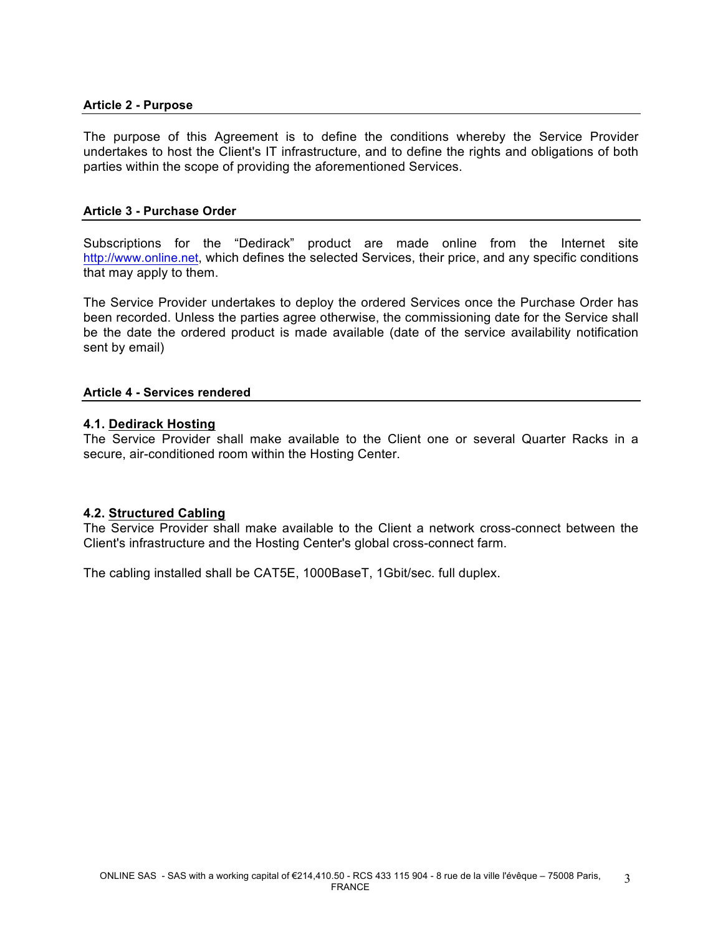## **Article 2 - Purpose**

The purpose of this Agreement is to define the conditions whereby the Service Provider undertakes to host the Client's IT infrastructure, and to define the rights and obligations of both parties within the scope of providing the aforementioned Services.

### **Article 3 - Purchase Order**

Subscriptions for the "Dedirack" product are made online from the Internet site http://www.online.net, which defines the selected Services, their price, and any specific conditions that may apply to them.

The Service Provider undertakes to deploy the ordered Services once the Purchase Order has been recorded. Unless the parties agree otherwise, the commissioning date for the Service shall be the date the ordered product is made available (date of the service availability notification sent by email)

## **Article 4 - Services rendered**

### **4.1. Dedirack Hosting**

The Service Provider shall make available to the Client one or several Quarter Racks in a secure, air-conditioned room within the Hosting Center.

## **4.2. Structured Cabling**

The Service Provider shall make available to the Client a network cross-connect between the Client's infrastructure and the Hosting Center's global cross-connect farm.

The cabling installed shall be CAT5E, 1000BaseT, 1Gbit/sec. full duplex.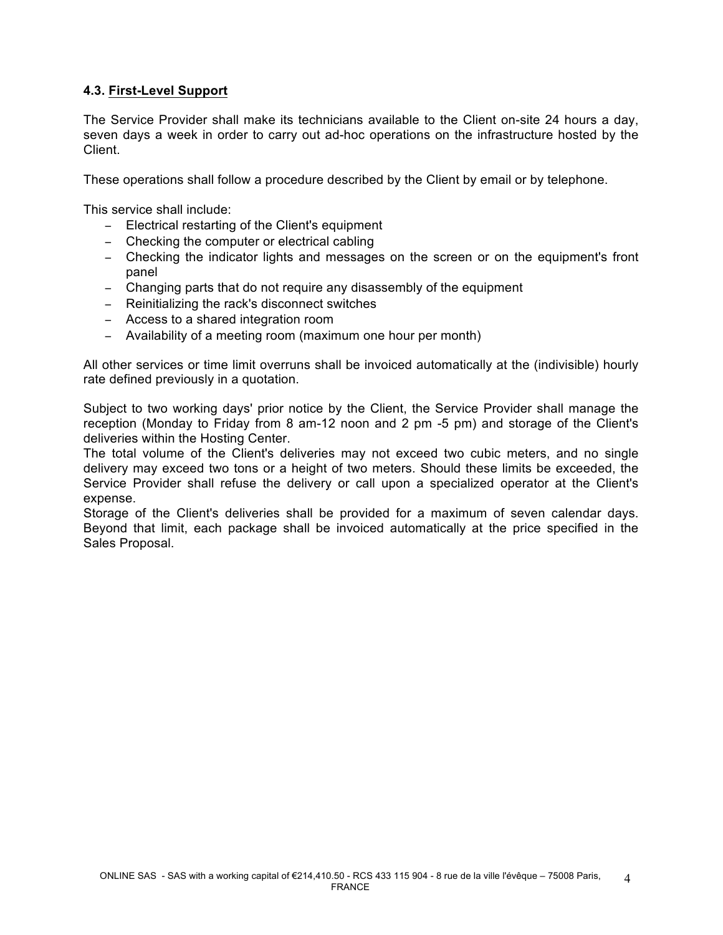# **4.3. First-Level Support**

The Service Provider shall make its technicians available to the Client on-site 24 hours a day, seven days a week in order to carry out ad-hoc operations on the infrastructure hosted by the Client.

These operations shall follow a procedure described by the Client by email or by telephone.

This service shall include:

- − Electrical restarting of the Client's equipment
- − Checking the computer or electrical cabling
- − Checking the indicator lights and messages on the screen or on the equipment's front panel
- − Changing parts that do not require any disassembly of the equipment
- − Reinitializing the rack's disconnect switches
- − Access to a shared integration room
- − Availability of a meeting room (maximum one hour per month)

All other services or time limit overruns shall be invoiced automatically at the (indivisible) hourly rate defined previously in a quotation.

Subject to two working days' prior notice by the Client, the Service Provider shall manage the reception (Monday to Friday from 8 am-12 noon and 2 pm -5 pm) and storage of the Client's deliveries within the Hosting Center.

The total volume of the Client's deliveries may not exceed two cubic meters, and no single delivery may exceed two tons or a height of two meters. Should these limits be exceeded, the Service Provider shall refuse the delivery or call upon a specialized operator at the Client's expense.

Storage of the Client's deliveries shall be provided for a maximum of seven calendar days. Beyond that limit, each package shall be invoiced automatically at the price specified in the Sales Proposal.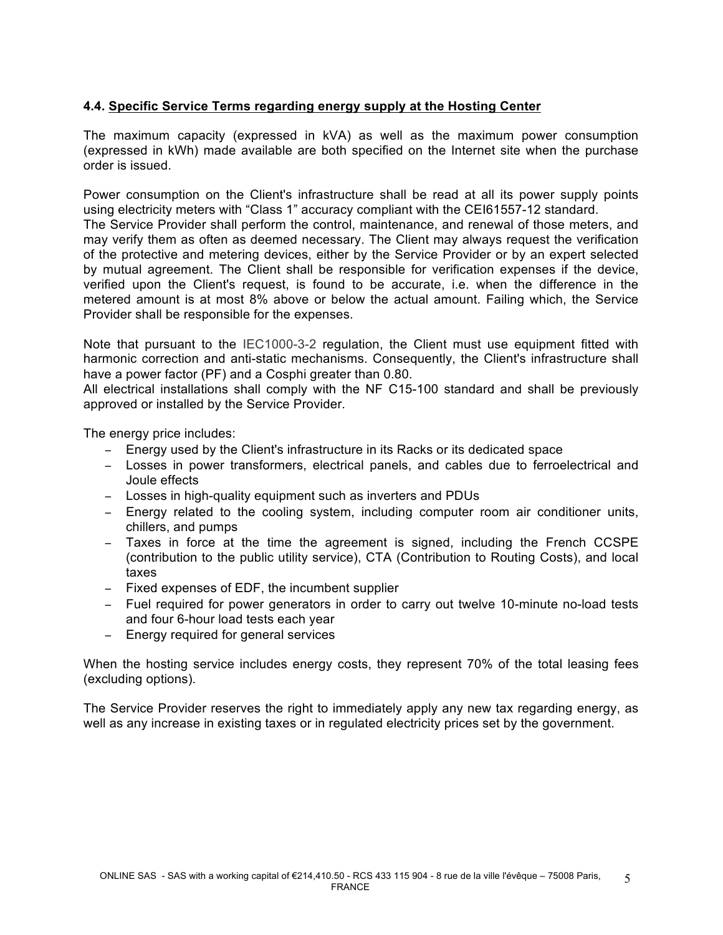# **4.4. Specific Service Terms regarding energy supply at the Hosting Center**

The maximum capacity (expressed in kVA) as well as the maximum power consumption (expressed in kWh) made available are both specified on the Internet site when the purchase order is issued.

Power consumption on the Client's infrastructure shall be read at all its power supply points using electricity meters with "Class 1" accuracy compliant with the CEI61557-12 standard.

The Service Provider shall perform the control, maintenance, and renewal of those meters, and may verify them as often as deemed necessary. The Client may always request the verification of the protective and metering devices, either by the Service Provider or by an expert selected by mutual agreement. The Client shall be responsible for verification expenses if the device, verified upon the Client's request, is found to be accurate, i.e. when the difference in the metered amount is at most 8% above or below the actual amount. Failing which, the Service Provider shall be responsible for the expenses.

Note that pursuant to the IEC1000-3-2 regulation, the Client must use equipment fitted with harmonic correction and anti-static mechanisms. Consequently, the Client's infrastructure shall have a power factor (PF) and a Cosphi greater than 0.80.

All electrical installations shall comply with the NF C15-100 standard and shall be previously approved or installed by the Service Provider.

The energy price includes:

- − Energy used by the Client's infrastructure in its Racks or its dedicated space
- − Losses in power transformers, electrical panels, and cables due to ferroelectrical and Joule effects
- − Losses in high-quality equipment such as inverters and PDUs
- − Energy related to the cooling system, including computer room air conditioner units, chillers, and pumps
- − Taxes in force at the time the agreement is signed, including the French CCSPE (contribution to the public utility service), CTA (Contribution to Routing Costs), and local taxes
- − Fixed expenses of EDF, the incumbent supplier
- − Fuel required for power generators in order to carry out twelve 10-minute no-load tests and four 6-hour load tests each year
- − Energy required for general services

When the hosting service includes energy costs, they represent 70% of the total leasing fees (excluding options).

The Service Provider reserves the right to immediately apply any new tax regarding energy, as well as any increase in existing taxes or in regulated electricity prices set by the government.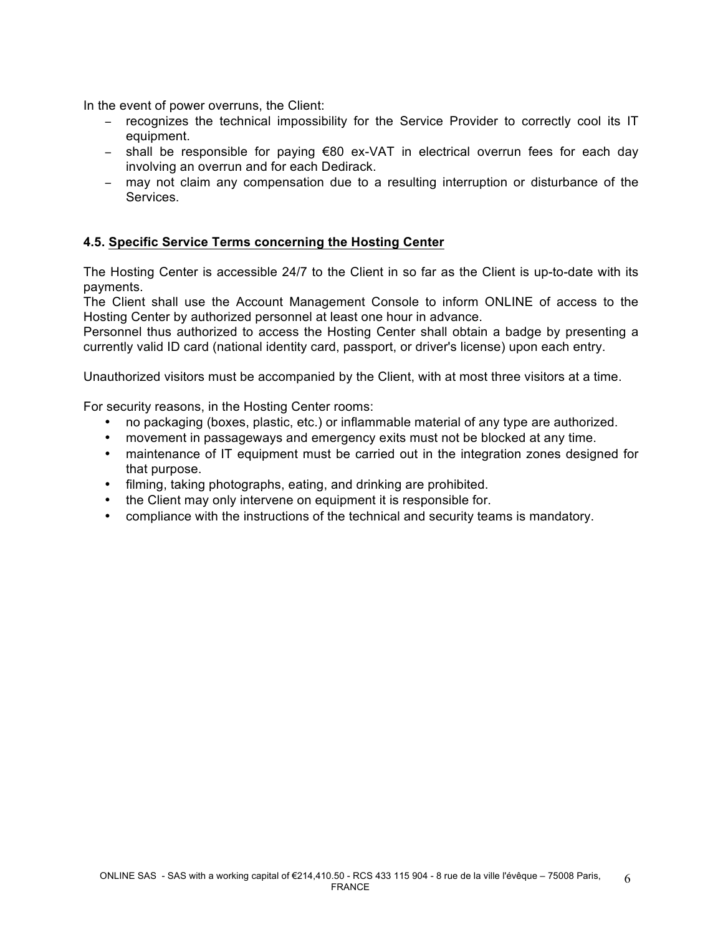In the event of power overruns, the Client:

- − recognizes the technical impossibility for the Service Provider to correctly cool its IT equipment.
- − shall be responsible for paying €80 ex-VAT in electrical overrun fees for each day involving an overrun and for each Dedirack.
- − may not claim any compensation due to a resulting interruption or disturbance of the Services.

# **4.5. Specific Service Terms concerning the Hosting Center**

The Hosting Center is accessible 24/7 to the Client in so far as the Client is up-to-date with its payments.

The Client shall use the Account Management Console to inform ONLINE of access to the Hosting Center by authorized personnel at least one hour in advance.

Personnel thus authorized to access the Hosting Center shall obtain a badge by presenting a currently valid ID card (national identity card, passport, or driver's license) upon each entry.

Unauthorized visitors must be accompanied by the Client, with at most three visitors at a time.

For security reasons, in the Hosting Center rooms:

- no packaging (boxes, plastic, etc.) or inflammable material of any type are authorized.
- movement in passageways and emergency exits must not be blocked at any time.
- maintenance of IT equipment must be carried out in the integration zones designed for that purpose.
- filming, taking photographs, eating, and drinking are prohibited.
- the Client may only intervene on equipment it is responsible for.
- compliance with the instructions of the technical and security teams is mandatory.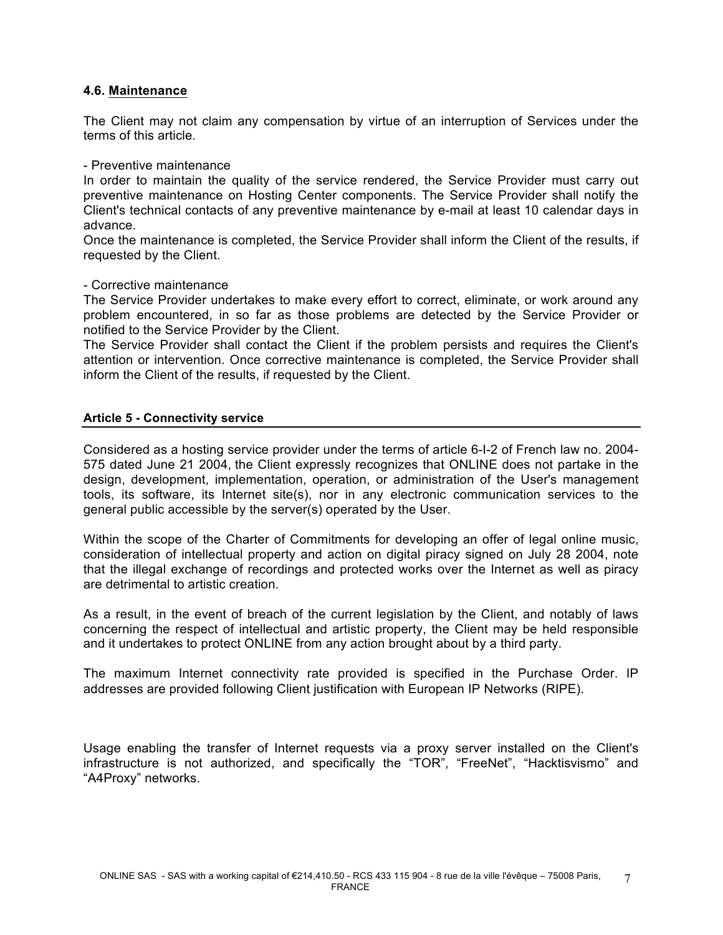## **4.6. Maintenance**

The Client may not claim any compensation by virtue of an interruption of Services under the terms of this article.

### - Preventive maintenance

In order to maintain the quality of the service rendered, the Service Provider must carry out preventive maintenance on Hosting Center components. The Service Provider shall notify the Client's technical contacts of any preventive maintenance by e-mail at least 10 calendar days in advance.

Once the maintenance is completed, the Service Provider shall inform the Client of the results, if requested by the Client.

### - Corrective maintenance

The Service Provider undertakes to make every effort to correct, eliminate, or work around any problem encountered, in so far as those problems are detected by the Service Provider or notified to the Service Provider by the Client.

The Service Provider shall contact the Client if the problem persists and requires the Client's attention or intervention. Once corrective maintenance is completed, the Service Provider shall inform the Client of the results, if requested by the Client.

## **Article 5 - Connectivity service**

Considered as a hosting service provider under the terms of article 6-I-2 of French law no. 2004- 575 dated June 21 2004, the Client expressly recognizes that ONLINE does not partake in the design, development, implementation, operation, or administration of the User's management tools, its software, its Internet site(s), nor in any electronic communication services to the general public accessible by the server(s) operated by the User.

Within the scope of the Charter of Commitments for developing an offer of legal online music, consideration of intellectual property and action on digital piracy signed on July 28 2004, note that the illegal exchange of recordings and protected works over the Internet as well as piracy are detrimental to artistic creation.

As a result, in the event of breach of the current legislation by the Client, and notably of laws concerning the respect of intellectual and artistic property, the Client may be held responsible and it undertakes to protect ONLINE from any action brought about by a third party.

The maximum Internet connectivity rate provided is specified in the Purchase Order. IP addresses are provided following Client justification with European IP Networks (RIPE).

Usage enabling the transfer of Internet requests via a proxy server installed on the Client's infrastructure is not authorized, and specifically the "TOR", "FreeNet", "Hacktisvismo" and "A4Proxy" networks.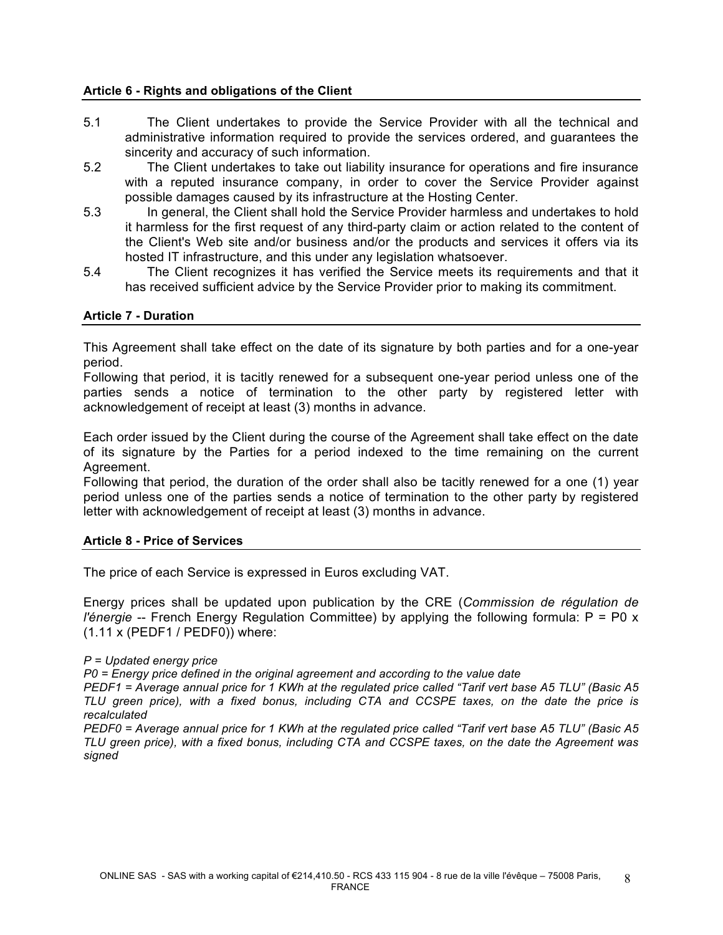## **Article 6 - Rights and obligations of the Client**

- 5.1 The Client undertakes to provide the Service Provider with all the technical and administrative information required to provide the services ordered, and guarantees the sincerity and accuracy of such information.
- 5.2 The Client undertakes to take out liability insurance for operations and fire insurance with a reputed insurance company, in order to cover the Service Provider against possible damages caused by its infrastructure at the Hosting Center.
- 5.3 In general, the Client shall hold the Service Provider harmless and undertakes to hold it harmless for the first request of any third-party claim or action related to the content of the Client's Web site and/or business and/or the products and services it offers via its hosted IT infrastructure, and this under any legislation whatsoever.
- 5.4 The Client recognizes it has verified the Service meets its requirements and that it has received sufficient advice by the Service Provider prior to making its commitment.

## **Article 7 - Duration**

This Agreement shall take effect on the date of its signature by both parties and for a one-year period.

Following that period, it is tacitly renewed for a subsequent one-year period unless one of the parties sends a notice of termination to the other party by registered letter with acknowledgement of receipt at least (3) months in advance.

Each order issued by the Client during the course of the Agreement shall take effect on the date of its signature by the Parties for a period indexed to the time remaining on the current Agreement.

Following that period, the duration of the order shall also be tacitly renewed for a one (1) year period unless one of the parties sends a notice of termination to the other party by registered letter with acknowledgement of receipt at least (3) months in advance.

## **Article 8 - Price of Services**

The price of each Service is expressed in Euros excluding VAT.

Energy prices shall be updated upon publication by the CRE (*Commission de régulation de l'énergie* -- French Energy Regulation Committee) by applying the following formula: P = P0 x (1.11 x (PEDF1 / PEDF0)) where:

#### *P = Updated energy price*

*P0 = Energy price defined in the original agreement and according to the value date*

*PEDF1 = Average annual price for 1 KWh at the regulated price called "Tarif vert base A5 TLU" (Basic A5 TLU green price), with a fixed bonus, including CTA and CCSPE taxes, on the date the price is recalculated*

*PEDF0 = Average annual price for 1 KWh at the regulated price called "Tarif vert base A5 TLU" (Basic A5 TLU green price), with a fixed bonus, including CTA and CCSPE taxes, on the date the Agreement was signed*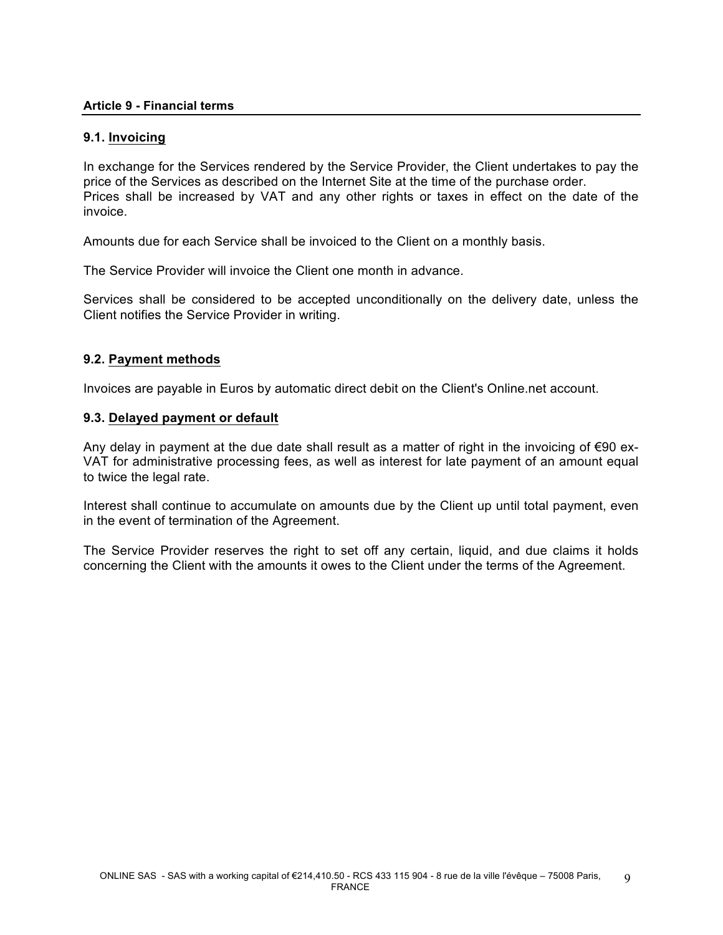## **Article 9 - Financial terms**

## **9.1. Invoicing**

In exchange for the Services rendered by the Service Provider, the Client undertakes to pay the price of the Services as described on the Internet Site at the time of the purchase order. Prices shall be increased by VAT and any other rights or taxes in effect on the date of the invoice.

Amounts due for each Service shall be invoiced to the Client on a monthly basis.

The Service Provider will invoice the Client one month in advance.

Services shall be considered to be accepted unconditionally on the delivery date, unless the Client notifies the Service Provider in writing.

## **9.2. Payment methods**

Invoices are payable in Euros by automatic direct debit on the Client's Online.net account.

## **9.3. Delayed payment or default**

Any delay in payment at the due date shall result as a matter of right in the invoicing of €90 ex-VAT for administrative processing fees, as well as interest for late payment of an amount equal to twice the legal rate.

Interest shall continue to accumulate on amounts due by the Client up until total payment, even in the event of termination of the Agreement.

The Service Provider reserves the right to set off any certain, liquid, and due claims it holds concerning the Client with the amounts it owes to the Client under the terms of the Agreement.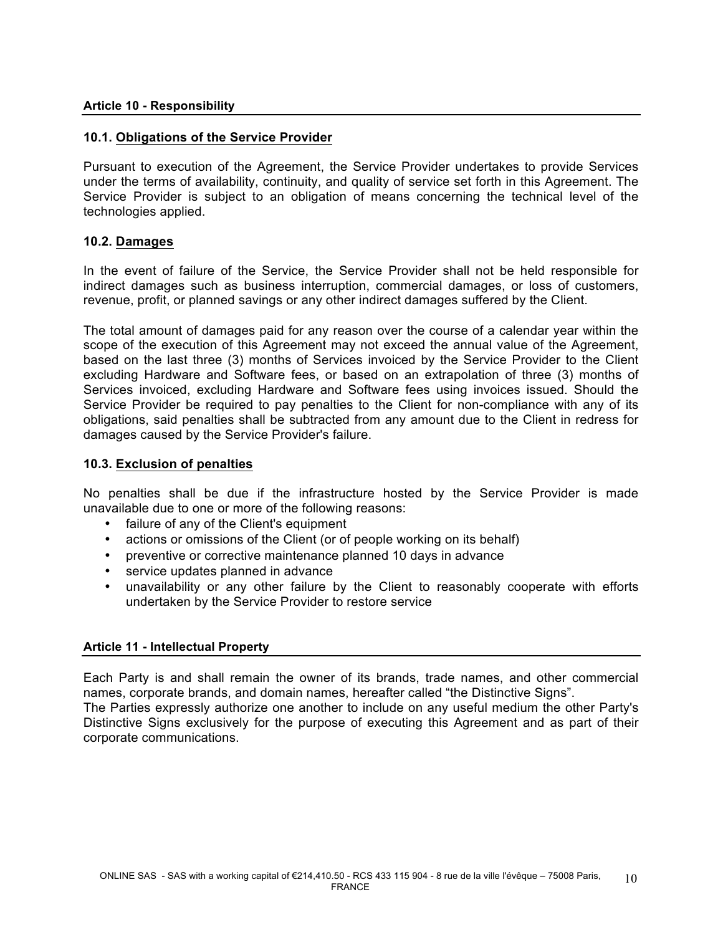## **10.1. Obligations of the Service Provider**

Pursuant to execution of the Agreement, the Service Provider undertakes to provide Services under the terms of availability, continuity, and quality of service set forth in this Agreement. The Service Provider is subject to an obligation of means concerning the technical level of the technologies applied.

## **10.2. Damages**

In the event of failure of the Service, the Service Provider shall not be held responsible for indirect damages such as business interruption, commercial damages, or loss of customers, revenue, profit, or planned savings or any other indirect damages suffered by the Client.

The total amount of damages paid for any reason over the course of a calendar year within the scope of the execution of this Agreement may not exceed the annual value of the Agreement, based on the last three (3) months of Services invoiced by the Service Provider to the Client excluding Hardware and Software fees, or based on an extrapolation of three (3) months of Services invoiced, excluding Hardware and Software fees using invoices issued. Should the Service Provider be required to pay penalties to the Client for non-compliance with any of its obligations, said penalties shall be subtracted from any amount due to the Client in redress for damages caused by the Service Provider's failure.

## **10.3. Exclusion of penalties**

No penalties shall be due if the infrastructure hosted by the Service Provider is made unavailable due to one or more of the following reasons:

- failure of any of the Client's equipment
- actions or omissions of the Client (or of people working on its behalf)
- preventive or corrective maintenance planned 10 days in advance
- service updates planned in advance
- unavailability or any other failure by the Client to reasonably cooperate with efforts undertaken by the Service Provider to restore service

## **Article 11 - Intellectual Property**

Each Party is and shall remain the owner of its brands, trade names, and other commercial names, corporate brands, and domain names, hereafter called "the Distinctive Signs".

The Parties expressly authorize one another to include on any useful medium the other Party's Distinctive Signs exclusively for the purpose of executing this Agreement and as part of their corporate communications.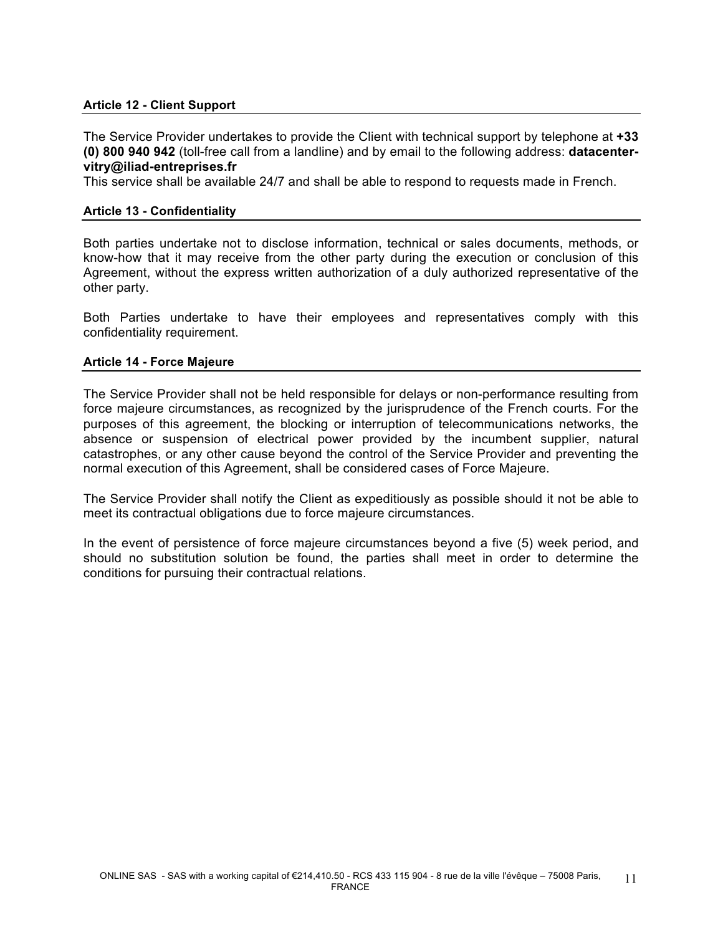## **Article 12 - Client Support**

The Service Provider undertakes to provide the Client with technical support by telephone at **+33 (0) 800 940 942** (toll-free call from a landline) and by email to the following address: **datacentervitry@iliad-entreprises.fr**

This service shall be available 24/7 and shall be able to respond to requests made in French.

### **Article 13 - Confidentiality**

Both parties undertake not to disclose information, technical or sales documents, methods, or know-how that it may receive from the other party during the execution or conclusion of this Agreement, without the express written authorization of a duly authorized representative of the other party.

Both Parties undertake to have their employees and representatives comply with this confidentiality requirement.

#### **Article 14 - Force Majeure**

The Service Provider shall not be held responsible for delays or non-performance resulting from force majeure circumstances, as recognized by the jurisprudence of the French courts. For the purposes of this agreement, the blocking or interruption of telecommunications networks, the absence or suspension of electrical power provided by the incumbent supplier, natural catastrophes, or any other cause beyond the control of the Service Provider and preventing the normal execution of this Agreement, shall be considered cases of Force Majeure.

The Service Provider shall notify the Client as expeditiously as possible should it not be able to meet its contractual obligations due to force majeure circumstances.

In the event of persistence of force majeure circumstances beyond a five (5) week period, and should no substitution solution be found, the parties shall meet in order to determine the conditions for pursuing their contractual relations.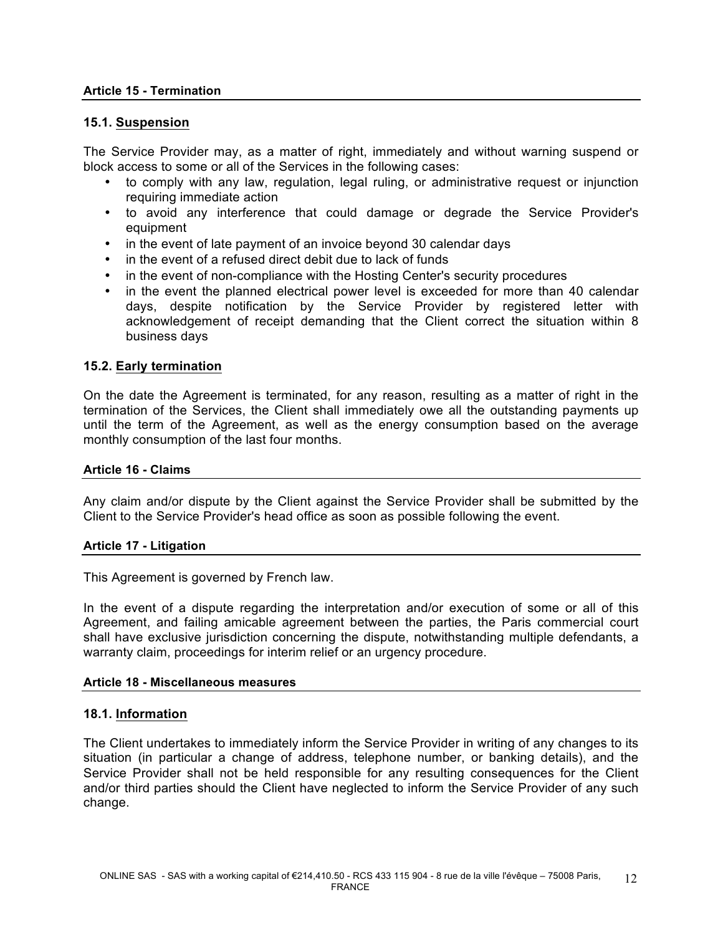## **Article 15 - Termination**

## **15.1. Suspension**

The Service Provider may, as a matter of right, immediately and without warning suspend or block access to some or all of the Services in the following cases:

- to comply with any law, regulation, legal ruling, or administrative request or injunction requiring immediate action
- to avoid any interference that could damage or degrade the Service Provider's equipment
- in the event of late payment of an invoice beyond 30 calendar days
- in the event of a refused direct debit due to lack of funds
- in the event of non-compliance with the Hosting Center's security procedures
- in the event the planned electrical power level is exceeded for more than 40 calendar days, despite notification by the Service Provider by registered letter with acknowledgement of receipt demanding that the Client correct the situation within 8 business days

## **15.2. Early termination**

On the date the Agreement is terminated, for any reason, resulting as a matter of right in the termination of the Services, the Client shall immediately owe all the outstanding payments up until the term of the Agreement, as well as the energy consumption based on the average monthly consumption of the last four months.

#### **Article 16 - Claims**

Any claim and/or dispute by the Client against the Service Provider shall be submitted by the Client to the Service Provider's head office as soon as possible following the event.

#### **Article 17 - Litigation**

This Agreement is governed by French law.

In the event of a dispute regarding the interpretation and/or execution of some or all of this Agreement, and failing amicable agreement between the parties, the Paris commercial court shall have exclusive jurisdiction concerning the dispute, notwithstanding multiple defendants, a warranty claim, proceedings for interim relief or an urgency procedure.

#### **Article 18 - Miscellaneous measures**

## **18.1. Information**

The Client undertakes to immediately inform the Service Provider in writing of any changes to its situation (in particular a change of address, telephone number, or banking details), and the Service Provider shall not be held responsible for any resulting consequences for the Client and/or third parties should the Client have neglected to inform the Service Provider of any such change.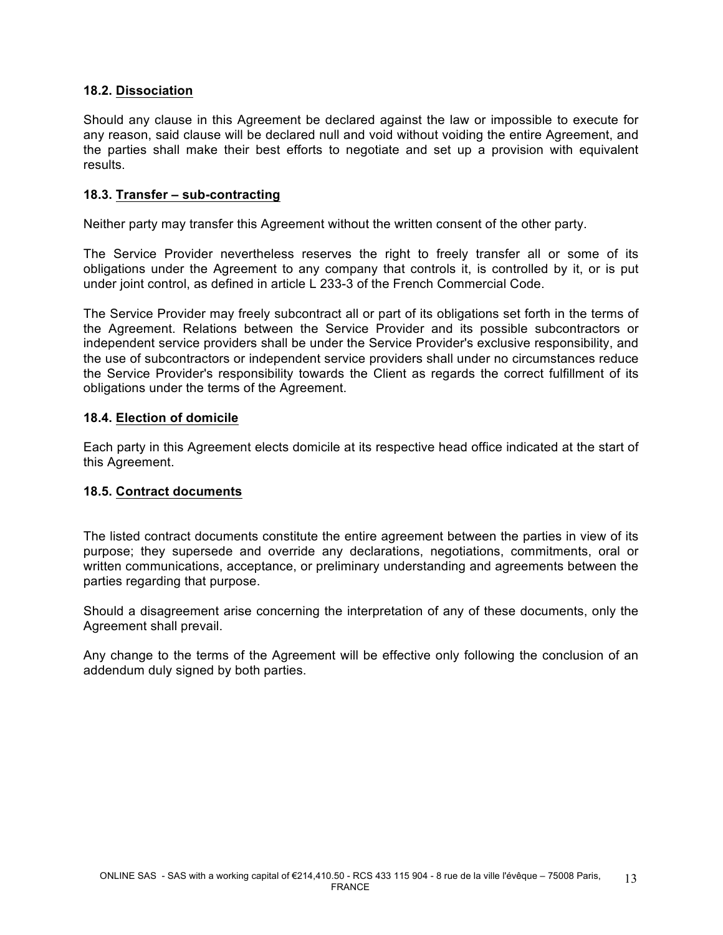## **18.2. Dissociation**

Should any clause in this Agreement be declared against the law or impossible to execute for any reason, said clause will be declared null and void without voiding the entire Agreement, and the parties shall make their best efforts to negotiate and set up a provision with equivalent results.

## **18.3. Transfer – sub-contracting**

Neither party may transfer this Agreement without the written consent of the other party.

The Service Provider nevertheless reserves the right to freely transfer all or some of its obligations under the Agreement to any company that controls it, is controlled by it, or is put under joint control, as defined in article L 233-3 of the French Commercial Code.

The Service Provider may freely subcontract all or part of its obligations set forth in the terms of the Agreement. Relations between the Service Provider and its possible subcontractors or independent service providers shall be under the Service Provider's exclusive responsibility, and the use of subcontractors or independent service providers shall under no circumstances reduce the Service Provider's responsibility towards the Client as regards the correct fulfillment of its obligations under the terms of the Agreement.

## **18.4. Election of domicile**

Each party in this Agreement elects domicile at its respective head office indicated at the start of this Agreement.

## **18.5. Contract documents**

The listed contract documents constitute the entire agreement between the parties in view of its purpose; they supersede and override any declarations, negotiations, commitments, oral or written communications, acceptance, or preliminary understanding and agreements between the parties regarding that purpose.

Should a disagreement arise concerning the interpretation of any of these documents, only the Agreement shall prevail.

Any change to the terms of the Agreement will be effective only following the conclusion of an addendum duly signed by both parties.